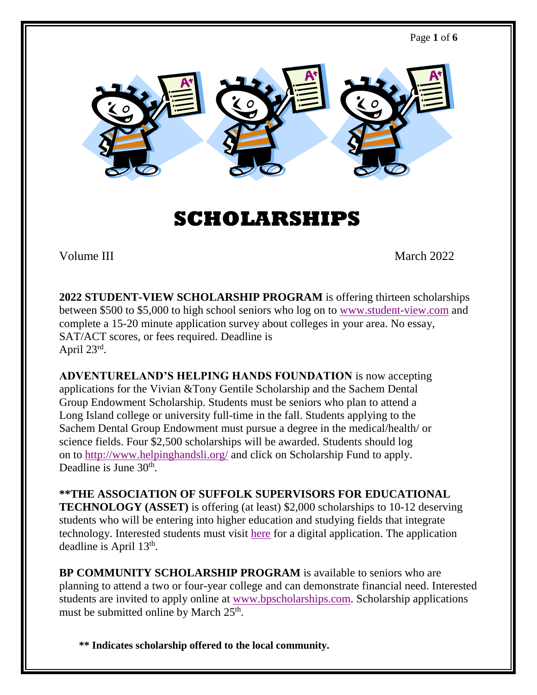

## **SCHOLARSHIPS**

Volume III March 2022

**2022 STUDENT-VIEW SCHOLARSHIP PROGRAM** is offering thirteen scholarships between \$500 to \$5,000 to high school seniors who log on to [www.student-view.com](http://www.student-view.com/) and complete a 15-20 minute application survey about colleges in your area. No essay, SAT/ACT scores, or fees required. Deadline is April 23rd.

**ADVENTURELAND'S HELPING HANDS FOUNDATION** is now accepting applications for the Vivian &Tony Gentile Scholarship and the Sachem Dental Group Endowment Scholarship. Students must be seniors who plan to attend a Long Island college or university full-time in the fall. Students applying to the Sachem Dental Group Endowment must pursue a degree in the medical/health/ or science fields. Four \$2,500 scholarships will be awarded. Students should log on to<http://www.helpinghandsli.org/> and click on Scholarship Fund to apply. Deadline is June 30<sup>th</sup>.

**\*\*THE ASSOCIATION OF SUFFOLK SUPERVISORS FOR EDUCATIONAL TECHNOLOGY (ASSET)** is offering (at least) \$2,000 scholarships to 10-12 deserving students who will be entering into higher education and studying fields that integrate technology. Interested students must visit [here](https://docs.google.com/forms/d/e/1FAIpQLSffS1HmEUE7835IozNmUKnvzVQ22yiy0PfN8BHDDGUHHAXBDw/viewform) for a digital application. The application deadline is April 13<sup>th</sup>.

**BP COMMUNITY SCHOLARSHIP PROGRAM** is available to seniors who are planning to attend a two or four-year college and can demonstrate financial need. Interested students are invited to apply online at [www.bpscholarships.com.](http://www.bpscholarships.com/) Scholarship applications must be submitted online by March 25<sup>th</sup>.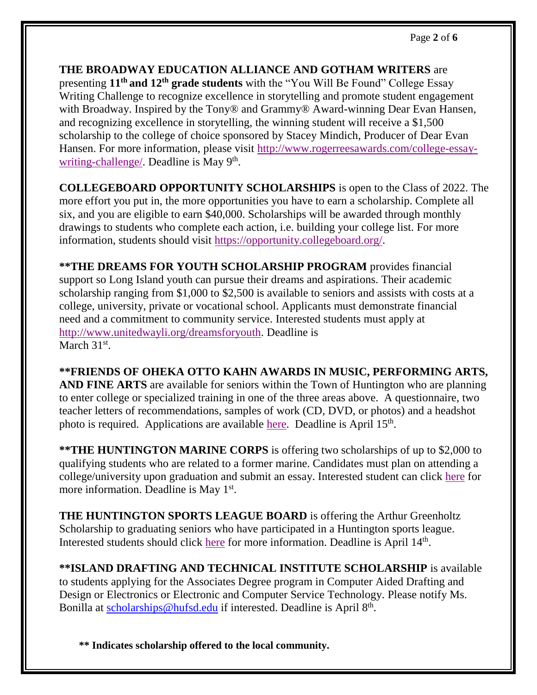**THE BROADWAY EDUCATION ALLIANCE AND GOTHAM WRITERS** are presenting **11th and 12th grade students** with the "You Will Be Found" College Essay Writing Challenge to recognize excellence in storytelling and promote student engagement with Broadway. Inspired by the Tony<sup>®</sup> and Grammy<sup>®</sup> Award-winning Dear Evan Hansen, and recognizing excellence in storytelling, the winning student will receive a \$1,500 scholarship to the college of choice sponsored by Stacey Mindich, Producer of Dear Evan Hansen. For more information, please visit [http://www.rogerreesawards.com/college-essay](http://www.rogerreesawards.com/college-essay-writing-challenge/)[writing-challenge/.](http://www.rogerreesawards.com/college-essay-writing-challenge/) Deadline is May 9<sup>th</sup>.

**COLLEGEBOARD OPPORTUNITY SCHOLARSHIPS** is open to the Class of 2022. The more effort you put in, the more opportunities you have to earn a scholarship. Complete all six, and you are eligible to earn \$40,000. Scholarships will be awarded through monthly drawings to students who complete each action, i.e. building your college list. For more information, students should visit [https://opportunity.collegeboard.org/.](https://opportunity.collegeboard.org/)

**\*\*THE DREAMS FOR YOUTH SCHOLARSHIP PROGRAM** provides financial support so Long Island youth can pursue their dreams and aspirations. Their academic scholarship ranging from \$1,000 to \$2,500 is available to seniors and assists with costs at a college, university, private or vocational school. Applicants must demonstrate financial need and a commitment to community service. Interested students must apply at [http://www.unitedwayli.org/dreamsforyouth.](http://www.unitedwayli.org/dreamsforyouth) Deadline is March 31<sup>st</sup>.

**\*\*FRIENDS OF OHEKA OTTO KAHN AWARDS IN MUSIC, PERFORMING ARTS, AND FINE ARTS** are available for seniors within the Town of Huntington who are planning to enter college or specialized training in one of the three areas above. A questionnaire, two teacher letters of recommendations, samples of work (CD, DVD, or photos) and a headshot photo is required. Applications are available [here.](https://drive.google.com/file/d/19tSuiKBHrNakdvKYIT8xARzgOYQsZkzS/view?usp=sharing) Deadline is April 15<sup>th</sup>.

**\*\*THE HUNTINGTON MARINE CORPS** is offering two scholarships of up to \$2,000 to qualifying students who are related to a former marine. Candidates must plan on attending a college/university upon graduation and submit an essay. Interested student can click [here](https://drive.google.com/file/d/11d98rlxVzXIGZcqgrKFVFTR2V9xwYsvh/view?usp=sharing) for more information. Deadline is May 1<sup>st</sup>.

**THE HUNTINGTON SPORTS LEAGUE BOARD** is offering the Arthur Greenholtz Scholarship to graduating seniors who have participated in a Huntington sports league. Interested students should click [here](https://drive.google.com/file/d/1Dsxac3BLUHs9vk3CHmRiRW9kaZLwQcVJ/view?usp=sharing) for more information. Deadline is April 14<sup>th</sup>.

**\*\*ISLAND DRAFTING AND TECHNICAL INSTITUTE SCHOLARSHIP** is available to students applying for the Associates Degree program in Computer Aided Drafting and Design or Electronics or Electronic and Computer Service Technology. Please notify Ms. Bonilla at [scholarships@hufsd.edu](mailto:scholarships@hufsd.edu) if interested. Deadline is April 8<sup>th</sup>.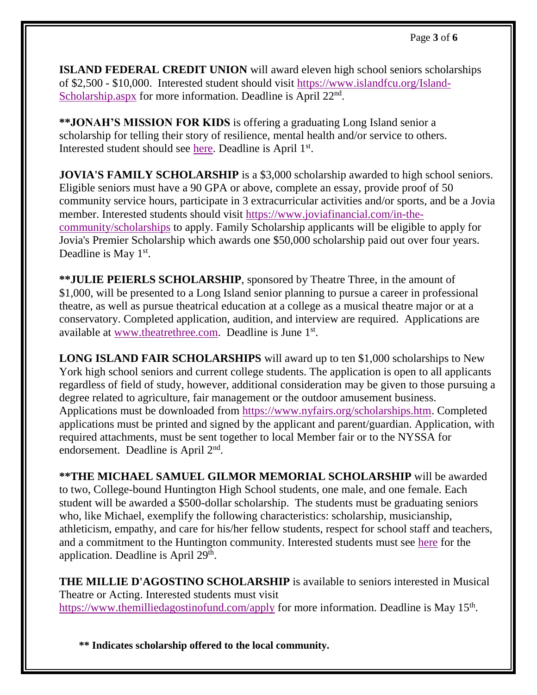**ISLAND FEDERAL CREDIT UNION** will award eleven high school seniors scholarships of \$2,500 - \$10,000. Interested student should visit [https://www.islandfcu.org/Island-](https://www.islandfcu.org/Island-Scholarship.aspx)[Scholarship.aspx](https://www.islandfcu.org/Island-Scholarship.aspx) for more information. Deadline is April 22<sup>nd</sup>.

**\*\*JONAH'S MISSION FOR KIDS** is offering a graduating Long Island senior a scholarship for telling their story of resilience, mental health and/or service to others. Interested student should see [here.](https://drive.google.com/file/d/1XRcrptyIZvolXP57A0Du9e9xz1Hsv3km/view?usp=sharing) Deadline is April 1st.

**JOVIA'S FAMILY SCHOLARSHIP** is a \$3,000 scholarship awarded to high school seniors. Eligible seniors must have a 90 GPA or above, complete an essay, provide proof of 50 community service hours, participate in 3 extracurricular activities and/or sports, and be a Jovia member. Interested students should visit [https://www.joviafinancial.com/in-the](https://www.joviafinancial.com/in-the-community/scholarships)[community/scholarships](https://www.joviafinancial.com/in-the-community/scholarships) to apply. Family Scholarship applicants will be eligible to apply for Jovia's Premier Scholarship which awards one \$50,000 scholarship paid out over four years. Deadline is May 1<sup>st</sup>.

**\*\*JULIE PEIERLS SCHOLARSHIP**, sponsored by Theatre Three, in the amount of \$1,000, will be presented to a Long Island senior planning to pursue a career in professional theatre, as well as pursue theatrical education at a college as a musical theatre major or at a conservatory. Completed application, audition, and interview are required. Applications are available at [www.theatrethree.com.](http://www.theatrethree.com/peierlsscholarship.html) Deadline is June 1st.

**LONG ISLAND FAIR SCHOLARSHIPS** will award up to ten \$1,000 scholarships to New York high school seniors and current college students. The application is open to all applicants regardless of field of study, however, additional consideration may be given to those pursuing a degree related to agriculture, fair management or the outdoor amusement business. Applications must be downloaded from [https://www.nyfairs.org/scholarships.htm.](https://www.nyfairs.org/scholarships.htm) Completed applications must be printed and signed by the applicant and parent/guardian. Application, with required attachments, must be sent together to local Member fair or to the NYSSA for endorsement. Deadline is April 2<sup>nd</sup>.

**\*\*THE MICHAEL SAMUEL GILMOR MEMORIAL SCHOLARSHIP** will be awarded to two, College-bound Huntington High School students, one male, and one female. Each student will be awarded a \$500-dollar scholarship. The students must be graduating seniors who, like Michael, exemplify the following characteristics: scholarship, musicianship, athleticism, empathy, and care for his/her fellow students, respect for school staff and teachers, and a commitment to the Huntington community. Interested students must see [here](https://drive.google.com/file/d/1Wtzo-qQMrC9iYay4ybxRb5B6HDp4pGDv/view?usp=sharing) for the application. Deadline is April 29<sup>th</sup>.

THE MILLIE D'AGOSTINO SCHOLARSHIP is available to seniors interested in Musical Theatre or Acting. Interested students must visit <https://www.themilliedagostinofund.com/apply> for more information. Deadline is May 15<sup>th</sup>.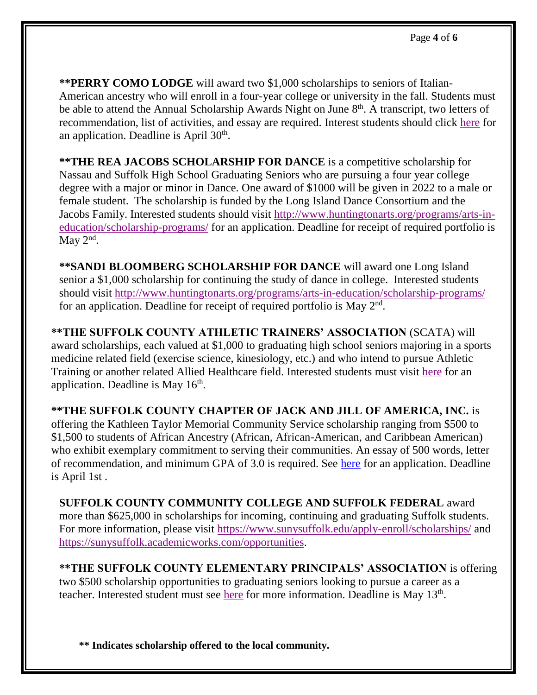**\*\*PERRY COMO LODGE** will award two \$1,000 scholarships to seniors of Italian-American ancestry who will enroll in a four-year college or university in the fall. Students must be able to attend the Annual Scholarship Awards Night on June 8<sup>th</sup>. A transcript, two letters of recommendation, list of activities, and essay are required. Interest students should click [here](https://drive.google.com/file/d/1vgGls2d5kttEODpdS9vIhqxpdjLK8iMv/view?usp=sharing) for an application. Deadline is April 30<sup>th</sup>.

**\*\*THE REA JACOBS SCHOLARSHIP FOR DANCE** is a competitive scholarship for Nassau and Suffolk High School Graduating Seniors who are pursuing a four year college degree with a major or minor in Dance. One award of \$1000 will be given in 2022 to a male or female student. The scholarship is funded by the Long Island Dance Consortium and the Jacobs Family. Interested students should visit [http://www.huntingtonarts.org/programs/arts-in](http://www.huntingtonarts.org/programs/arts-in-education/scholarship-programs/)[education/scholarship-programs/](http://www.huntingtonarts.org/programs/arts-in-education/scholarship-programs/) for an application. Deadline for receipt of required portfolio is May  $2<sup>nd</sup>$ .

**\*\*SANDI BLOOMBERG SCHOLARSHIP FOR DANCE** will award one Long Island senior a \$1,000 scholarship for continuing the study of dance in college. Interested students should visit<http://www.huntingtonarts.org/programs/arts-in-education/scholarship-programs/> for an application. Deadline for receipt of required portfolio is May  $2<sup>nd</sup>$ .

**\*\*THE SUFFOLK COUNTY ATHLETIC TRAINERS' ASSOCIATION** (SCATA) will award scholarships, each valued at \$1,000 to graduating high school seniors majoring in a sports medicine related field (exercise science, kinesiology, etc.) and who intend to pursue Athletic Training or another related Allied Healthcare field. Interested students must visit [here](https://drive.google.com/file/d/1hK2audTdWIvn7za0c0hA_WSs7lMGbKtG/view) for an application. Deadline is May 16<sup>th</sup>.

**\*\*THE SUFFOLK COUNTY CHAPTER OF JACK AND JILL OF AMERICA, INC.** is offering the Kathleen Taylor Memorial Community Service scholarship ranging from \$500 to \$1,500 to students of African Ancestry (African, African-American, and Caribbean American) who exhibit exemplary commitment to serving their communities. An essay of 500 words, letter of recommendation, and minimum GPA of 3.0 is required. See [here](https://drive.google.com/file/d/1tdffDnJEHZFjcbL2yk1GjrcCh0tHrLr4/view?usp=sharing) for an application. Deadline is April 1st .

**SUFFOLK COUNTY COMMUNITY COLLEGE AND SUFFOLK FEDERAL** award more than \$625,000 in scholarships for incoming, continuing and graduating Suffolk students. For more information, please visit<https://www.sunysuffolk.edu/apply-enroll/scholarships/> and [https://sunysuffolk.academicworks.com/opportunities.](https://sunysuffolk.academicworks.com/opportunities)

**\*\*THE SUFFOLK COUNTY ELEMENTARY PRINCIPALS' ASSOCIATION** is offering two \$500 scholarship opportunities to graduating seniors looking to pursue a career as a teacher. Interested student must see [here](https://drive.google.com/file/d/1WYp6wjS-0VifM0tr0QjaNbhlKhpzLqi8/view?usp=sharing) for more information. Deadline is May 13<sup>th</sup>.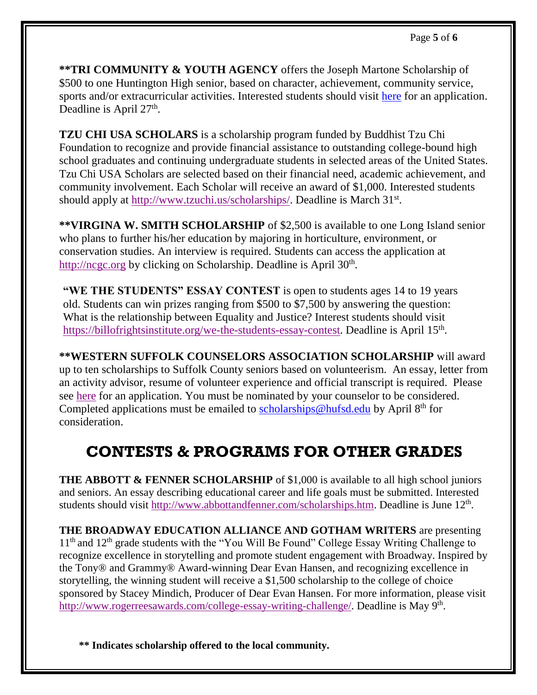**\*\*TRI COMMUNITY & YOUTH AGENCY** offers the Joseph Martone Scholarship of \$500 to one Huntington High senior, based on character, achievement, community service, sports and/or extracurricular activities. Interested students should visit [here](https://drive.google.com/file/d/1oCYomYkTxSscHYD7Wb85wZKledg1t6hp/view?usp=sharing) for an application. Deadline is April 27<sup>th</sup>.

**TZU CHI USA SCHOLARS** is a scholarship program funded by Buddhist Tzu Chi Foundation to recognize and provide financial assistance to outstanding college-bound high school graduates and continuing undergraduate students in selected areas of the United States. Tzu Chi USA Scholars are selected based on their financial need, academic achievement, and community involvement. Each Scholar will receive an award of \$1,000. Interested students should apply at [http://www.tzuchi.us/scholarships/.](http://www.tzuchi.us/scholarships/) Deadline is March 31<sup>st</sup>.

**\*\*VIRGINA W. SMITH SCHOLARSHIP** of \$2,500 is available to one Long Island senior who plans to further his/her education by majoring in horticulture, environment, or conservation studies. An interview is required. Students can access the application at [http://ncgc.org](http://ncgc.org/) by clicking on Scholarship. Deadline is April 30<sup>th</sup>.

**"WE THE STUDENTS" ESSAY CONTEST** is open to students ages 14 to 19 years old. Students can win prizes ranging from \$500 to \$7,500 by answering the question: What is the relationship between Equality and Justice? Interest students should visit [https://billofrightsinstitute.org/we-the-students-essay-contest.](https://billofrightsinstitute.org/we-the-students-essay-contest) Deadline is April 15<sup>th</sup>.

**\*\*WESTERN SUFFOLK COUNSELORS ASSOCIATION SCHOLARSHIP** will award up to ten scholarships to Suffolk County seniors based on volunteerism. An essay, letter from an activity advisor, resume of volunteer experience and official transcript is required. Please see [here](https://drive.google.com/file/d/12ER7siUozxBKIbwTbMpuXSBaiQEywDZq/view?usp=sharing) for an application. You must be nominated by your counselor to be considered. Completed applications must be emailed to [scholarships@hufsd.edu](mailto:scholarships@hufsd.edu) by April  $8<sup>th</sup>$  for consideration.

## **CONTESTS & PROGRAMS FOR OTHER GRADES**

**THE ABBOTT & FENNER SCHOLARSHIP** of \$1,000 is available to all high school juniors and seniors. An essay describing educational career and life goals must be submitted. Interested students should visit [http://www.abbottandfenner.com/scholarships.htm.](http://www.abbottandfenner.com/scholarships.htm) Deadline is June 12<sup>th</sup>.

**THE BROADWAY EDUCATION ALLIANCE AND GOTHAM WRITERS** are presenting  $11<sup>th</sup>$  and  $12<sup>th</sup>$  grade students with the "You Will Be Found" College Essay Writing Challenge to recognize excellence in storytelling and promote student engagement with Broadway. Inspired by the Tony® and Grammy® Award-winning Dear Evan Hansen, and recognizing excellence in storytelling, the winning student will receive a \$1,500 scholarship to the college of choice sponsored by Stacey Mindich, Producer of Dear Evan Hansen. For more information, please visit [http://www.rogerreesawards.com/college-essay-writing-challenge/.](http://www.rogerreesawards.com/college-essay-writing-challenge/) Deadline is May 9<sup>th</sup>.